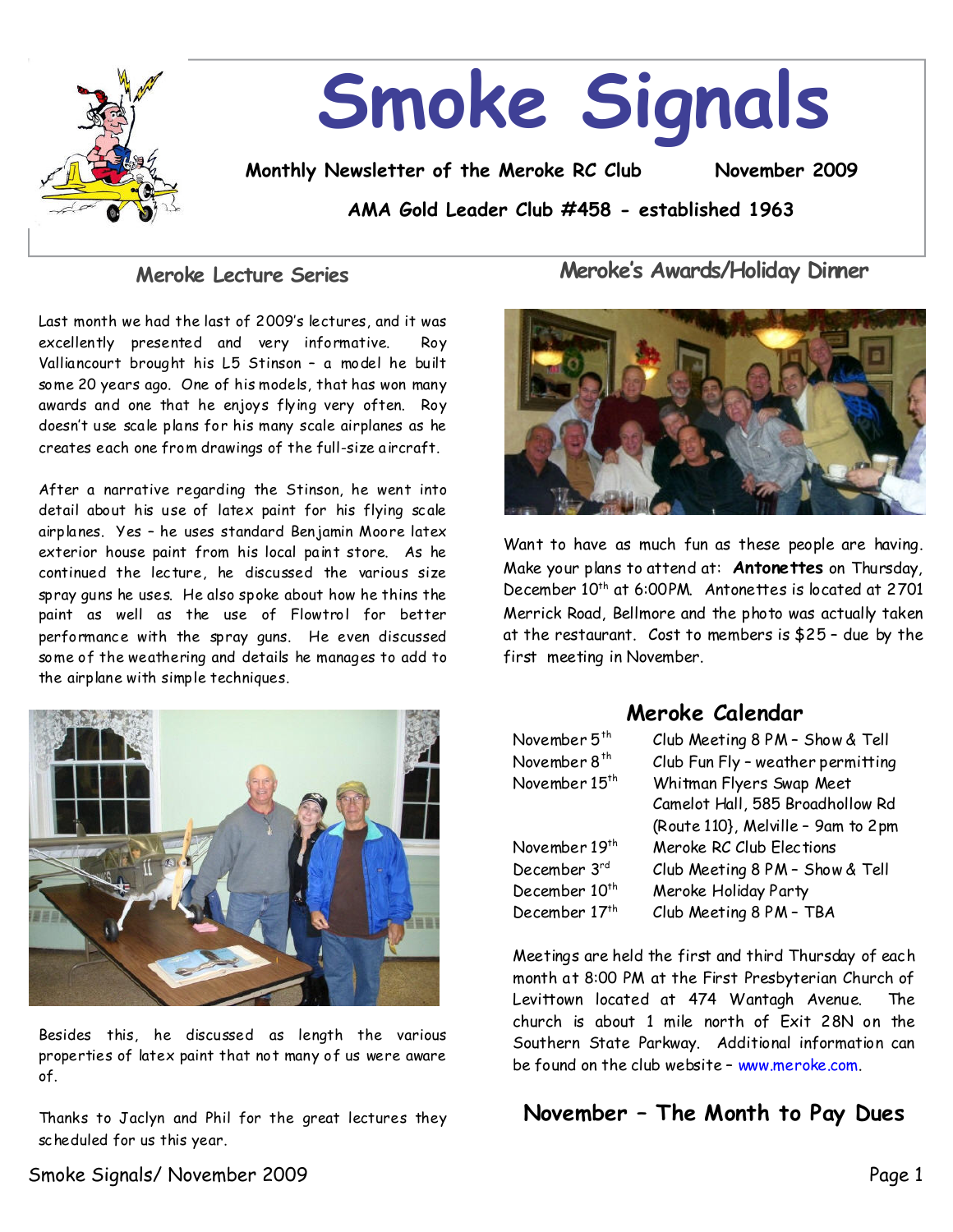

### **Meroke Lecture Series**

Last month we had the last of 2009's lectures, and it was excellently presented and very informative. Roy Valliancourt brought his L5 Stinson - a model he built some 20 years ago. One of his models, that has won many awards and one that he enjoys flying very often. Roy doesn't use scale plans for his many scale airplanes as he creates each one fromdrawings of the full-size aircraft.

After a narrative regarding the Stinson, he went into detail about his use of latex paint for his flying scale airplanes. Yes - he uses standard Benjamin Moore latex exterior house paint from his local paint store. As he continued the lecture, he discussed the various size spray guns he uses. He also spoke about how he thins the paint as well as the use of Flowtrol for better performance with the spray guns. He even discussed some of theweathering and details he manages to add to the airplane with simple techniques.



Besides this, he discussed as length the various properties of latex paint that not many of us were aware of.

Thanks to Jaclyn and Phil for the great lectures they scheduled for us this year.

Meroke's Awards/Holiday Dinner



Want to have as much fun as these people are having. Make your plans to attendat: **Antonettes**on Thursday, December 10<sup>th</sup> at 6:00PM. Antonettes is located at 2701 Merrick Road, Bellmore and the photo was actually taken at the restaurant. Cost to members is  $$25$  - due by the first meeting in November.

## **Meroke Calendar**

| November 5 <sup>th</sup>  | Club Meeting 8 PM - Show & Tell    |  |
|---------------------------|------------------------------------|--|
| November 8 <sup>th</sup>  | Club Fun Fly - weather permitting  |  |
| November 15 <sup>th</sup> | Whitman Flyers Swap Meet           |  |
|                           | Camelot Hall, 585 Broadhollow Rd   |  |
|                           | (Route 110}, Melville - 9am to 2pm |  |
| November 19th             | Meroke RC Club Elections           |  |
| December 3rd              | Club Meeting 8 PM - Show & Tell    |  |
| December 10 <sup>th</sup> | Meroke Holiday Party               |  |
| December 17th             | Club Meeting 8 PM - TBA            |  |

Meetings are held the first and third Thursday of each month at 8:00 PM at the First Presbyterian Church of Levittown located at 474 Wantagh Avenue. The church is about 1 mile north of Exit 28N on the Southern State Parkway. Additional information can be found on the club website - www.meroke.com.

## November - The Month to Pay Dues

Smoke Signals/November 2009 Page 1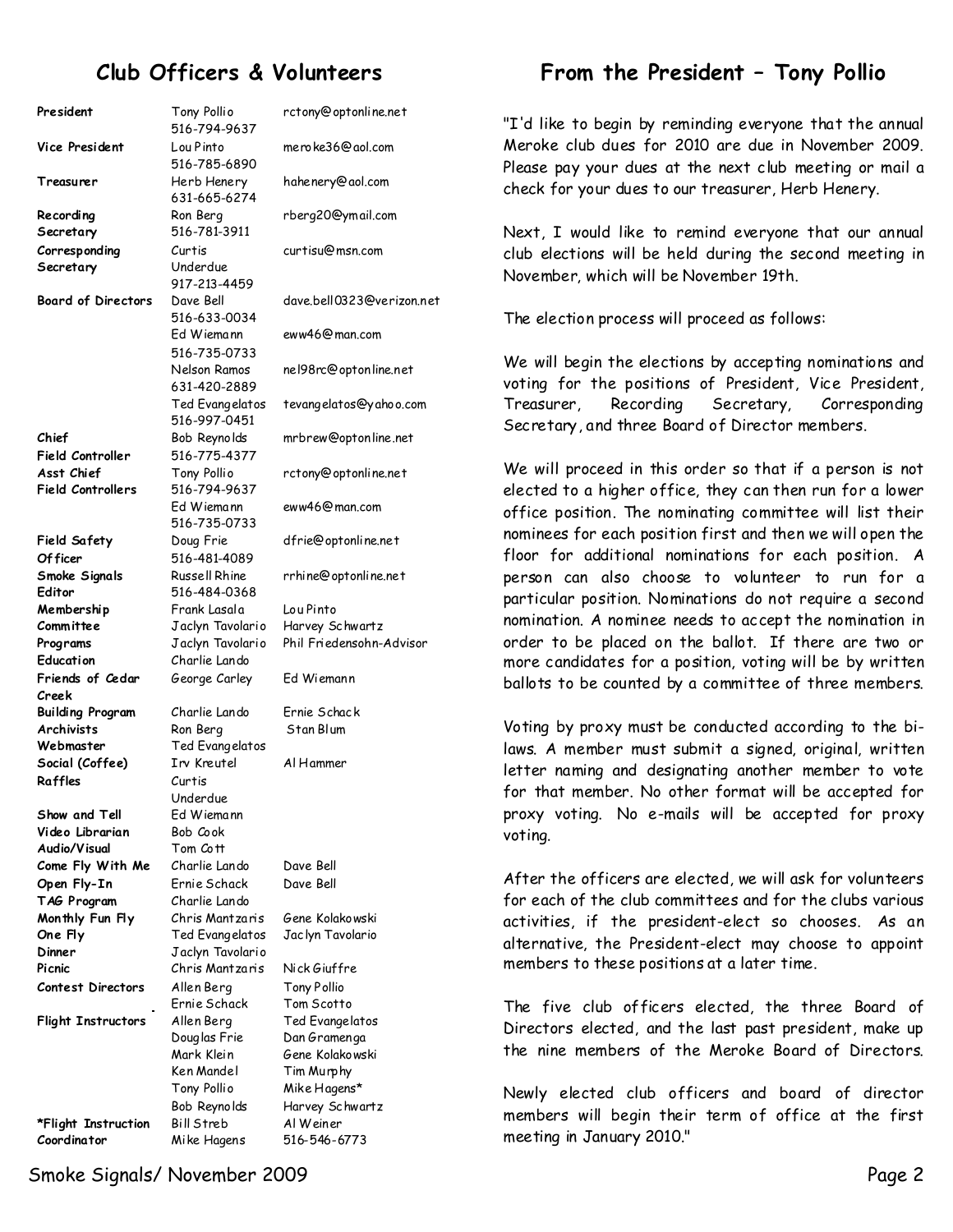# **Club Officers & Volunteers**

| President                 | Tony Pollio<br>516-794-9637 | rctony@optonl   |
|---------------------------|-----------------------------|-----------------|
| Vice President            | Lou Pinto<br>516-785-6890   | mero ke36@aol   |
| Treasurer                 | Herb Henery<br>631-665-6274 | hahenery@aol.   |
| Recording                 | Ron Berg                    | rberg20@ymai    |
| Secretary                 | 516-781-3911                |                 |
| Corresponding             | Curtis                      | curtisu@msn.c   |
| Secretary                 | Underdue                    |                 |
|                           | 917-213-4459                |                 |
| <b>Board of Directors</b> | Dave Bell                   | dave.bell03230  |
|                           | 516-633-0034                |                 |
|                           | Ed Wiemann                  | eww46@man.co    |
|                           | 516-735-0733                |                 |
|                           | Nelson Ramos                | nel98rc@optor   |
|                           | 631-420-2889                |                 |
|                           | Ted Evangelatos             | tevangelatos@   |
|                           | 516-997-0451                |                 |
| Chief                     | Bob Reynolds                | mrbrew@optor    |
| Field Controller          | 516-775-4377                |                 |
| Asst Chief                | Tony Pollio                 | rctony@optonl   |
| <b>Field Controllers</b>  | 516-794-9637                |                 |
|                           | Ed Wiemann                  | eww46@man.co    |
|                           | 516-735-0733                |                 |
| Field Safety              | Doug Frie                   | dfrie@optonlir  |
| Of ficer                  | 516-481-4089                |                 |
| Smoke Signals             | Russell Rhine               | rrhine@optonli  |
| Editor                    | 516-484-0368                |                 |
| Membership                | Frank Lasala                | Lou Pinto       |
| Committee                 | Jaclyn Tavolario            | Harvey Schwar   |
| Programs                  | Jaclyn Tavolario            | Phil Friedensol |
| Education                 | Charlie Lando               |                 |
| Friends of Cedar          | George Carley               | Ed Wiemann      |
| Creek                     |                             |                 |
| <b>Building Program</b>   | Charlie Lando               | Ernie Schack    |
| <b>Archivists</b>         | Ron Berg                    | Stan Blum       |
| Webmaster                 | Ted Evangelatos             |                 |
| Social (Coffee)           | Irv Kreutel                 | Al Hammer       |
| Raffles                   | Curtis                      |                 |
|                           | Underdue                    |                 |
| Show and Tell             | Ed Wiemann                  |                 |
| Video Librarian           | Bob Cook                    |                 |
| Audio/Visual              | Tom Cott                    |                 |
| Come Fly With Me          | Charlie Lando               | Dave Bell       |
| Open Fly-In               | Ernie Schack                | Dave Bell       |
| TAG Program               | Charlie Lando               |                 |
| Monthly Fun Fly           | Chris Mantzaris             | Gene Kolakows   |
| One Fly                   | Ted Evangelatos             | Jac lyn Tavolar |
| Dinner                    | Jaclyn Tavolario            |                 |
| Picnic                    | Chris Mantzaris             | Nick Giuffre    |
| <b>Contest Directors</b>  | Allen Berg                  | Tony Pollio     |
|                           | Ernie Schack                | Tom Scotto      |
| <b>Flight Instructors</b> | Allen Berg                  | Ted Evangelate  |
|                           | Douglas Frie                | Dan Gramenga    |
|                           | Mark Klein                  | Gene Kolakows   |
|                           | Ken Mandel                  | Tim Murphy      |
|                           | Tony Pollio                 | Mike Hagens*    |
|                           | Bob Reynolds                | Harvey Schwar   |
| *Flight Instruction       | Bill Streb                  | Al Weiner       |
| Coordinator               | Mike Hagens                 | 516-546-6773    |

rctony@optonline.net meroke36@aol.com hahenery@aol.com erg20@ymail.com curtisu@msn.com dave.bell0323@verizon.net eww46@man.com nel98rc@optonline.net tevangelatos@yahoo.com mrbrew@optonline.net rctony@optonline.net eww46@man.com dfrie@optonline.net hine@optonline.net u Pinto arvey Schwartz **Programs** Jaclyn Tavolario Phil Friedensohn-Advisor d Wiemann rnie Schac<mark>k</mark><br>.tan Blum ave Bell **Monthly Fun Fly** Chris Mantzaris Gene Kolakowski **1c lyn Tavolario ick Giuffre** ony Pollio om Scotto ed Evangelatos an Gramenga ene Kolakowski im Murphy ike Hagens\* arvey Schwartz

## From the President - Tony Pollio

"I'd like to begin by reminding everyone that the annual Meroke club dues for 2010 are due in November 2009. Please pay your dues at the next club meeting or mail a check for your dues to our treasurer, Herb Henery.

Next, I would like to remind everyone that our annual club elections will be held during the second meeting in November, which will be November 19th.

The election process will proceed as follows:

We will begin the elections by accepting nominations and voting for the positions of President, Vice President, Treasurer, Recording Secretary, Corresponding Secretary, and three Board of Director members.

We will proceed in this order so that if a person is not elected to a higher office, they can then run for a lower office position. The nominating committee will list their nominees for each position first and then we will open the floor for additional nominations for each position. A person can also choose to volunteer to run for a particular position. Nominations do not require a second nomination. A nominee needs to accept the nomination in order to be placed on the ballot. If there are two or more candidates for a position, voting will be by written ballots to be counted by a committee of three members.

Voting by proxy must be conducted according to the bi laws. A member must submit a signed, original, written letter naming and designating another member to vote for that member. No other format will be accepted for proxy voting. No e-mails will be accepted for proxy voting.

After the officers are elected, we will ask for volunteers for each of the club committees and for the clubs various activities, if the president-elect so chooses. As an alternative, the President-elect may choose to appoint members to these positions at a later time.

The five club officers elected, the three Board of Directors elected, and the last past president, make up the nine members of the Meroke Board of Directors.

Newly elected club officers and board of director members will begin their term of office at the first meeting in January 2010."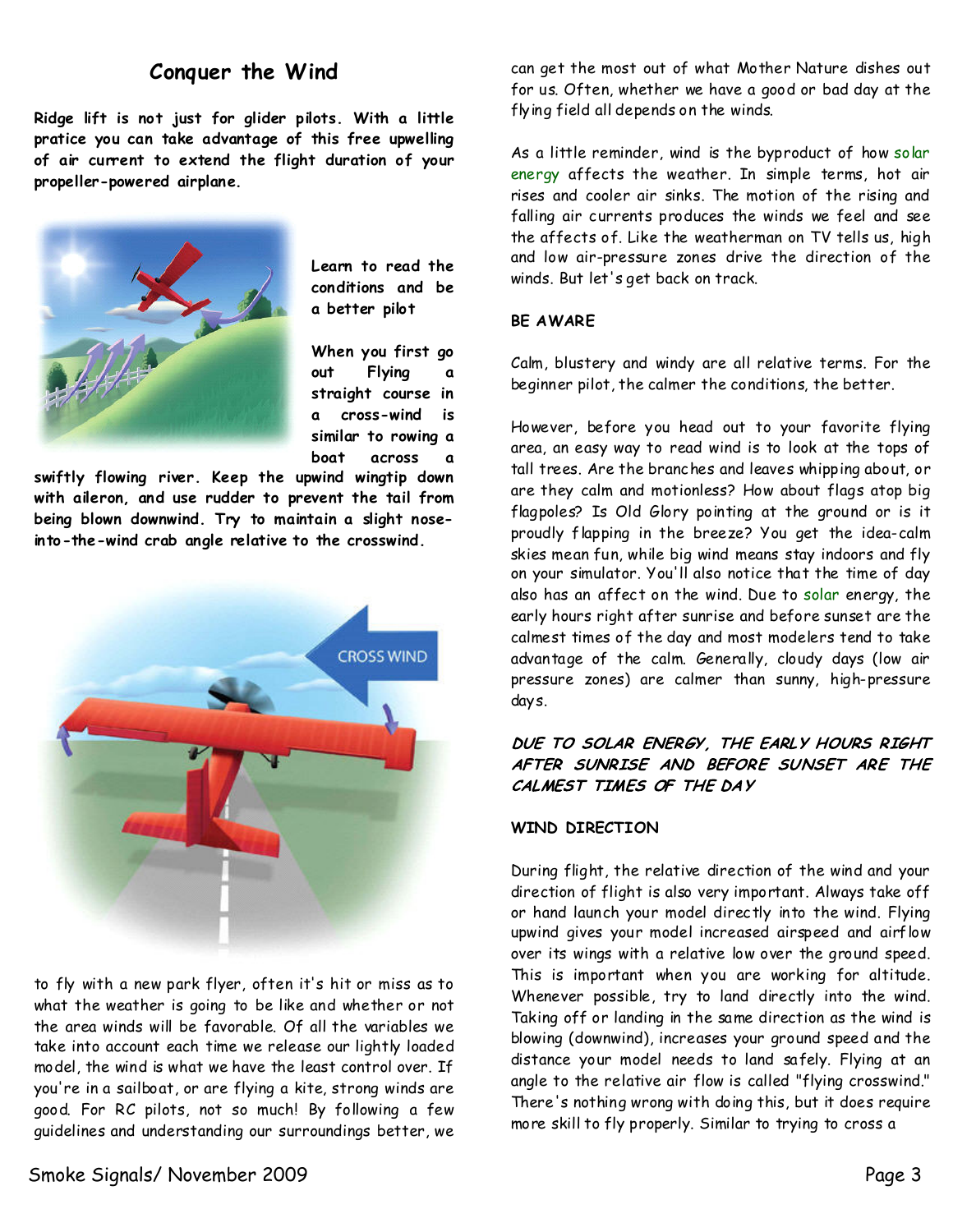## **Conquer the Wind**

**Ridge lift is not just for glider pilots. With a little pratice you cantake advantage of this free upwelling of air current to extend the flight duration of your propeller-powered airplane.**



**Learn to read the conditions and be a better pilot**

**When you first go out Flying a straight course in a cross-wind is similar to rowing a** boat across

**swiftly flowing river. Keep the upwind wingtip down with aileron, and use rudder to prevent the tail from being blown downwind. Try to maintain a slight nose into-the-wind crab angle relative to the crosswind.**



to fly with a new park flyer, often it's hit or miss as to what the weather is going to be like and whether or not the area winds will be favorable. Of all the variables we take into account each time we release our lightly loaded model, the wind is what we have the least control over. If you're in a sailboat, or are flying a kite, strong winds are good. For RC pilots, not so much! By following a few guidelines and understanding our surroundings better, we

Smoke Signals/ November 2009 Page 3

can get the most out of what Mother Nature dishes out for us. Often, whether we have a good or bad day at the flying field all depends on the winds.

As a little reminder, wind is the byproduct of howsolar energy affects the weather. In simple terms, hot air rises and cooler air sinks. The motion of the rising and falling air currents produces the winds we feel and see the affects of. Like the weatherman on TV tells us, high and low air-pressure zones drive the direction of the winds. But let'sget back on track.

#### **BE AWARE**

Calm, blustery and windy are all relative terms. For the beginner pilot, the calmer the conditions, the better.

However, before you head out to your favorite flying area, an easy way to read wind is to look at the tops of tall trees. Are the branches and leaves whipping about, or are they calm and motionless? How about flags atop big flagpoles? Is Old Glory pointing at the ground or is it proudly flapping in the breeze? You get the idea-calm skies mean fun, while big wind means stay indoors and fly on your simulator. You'll also notice that the time of day also has an affect on the wind. Due to solar energy, the early hours right after sunrise and before sunset are the calmest times of the day and most modelers tend to take advantage of the calm. Generally, cloudy days (low air pressure zones) are calmer than sunny, high-pressure days.

#### DUE TO SOLAR ENERGY, THE EARLY HOURS RIGHT AFTER SUNRISE AND BEFORE SUNSET ARE THE CALMEST TIMES OF THE DAY

#### **WIND DIRECTION**

During flight, the relative direction of thewind and your direction of flight is also very important. Always take off or hand launch your model directly into the wind. Flying upwind gives your model increased airspeed and airflow over its wings with a relative low over the ground speed. This is important when you are working for altitude. Whenever possible, try to land directly into the wind. Taking off or landing in the same direction as the wind is blowing (downwind), increases your ground speed and the distance your model needs to land safely. Flying at an angle to the relative air flow is called "flying crosswind." There's nothing wrong with doing this, but it does require more skill to fly properly. Similar to trying to cross a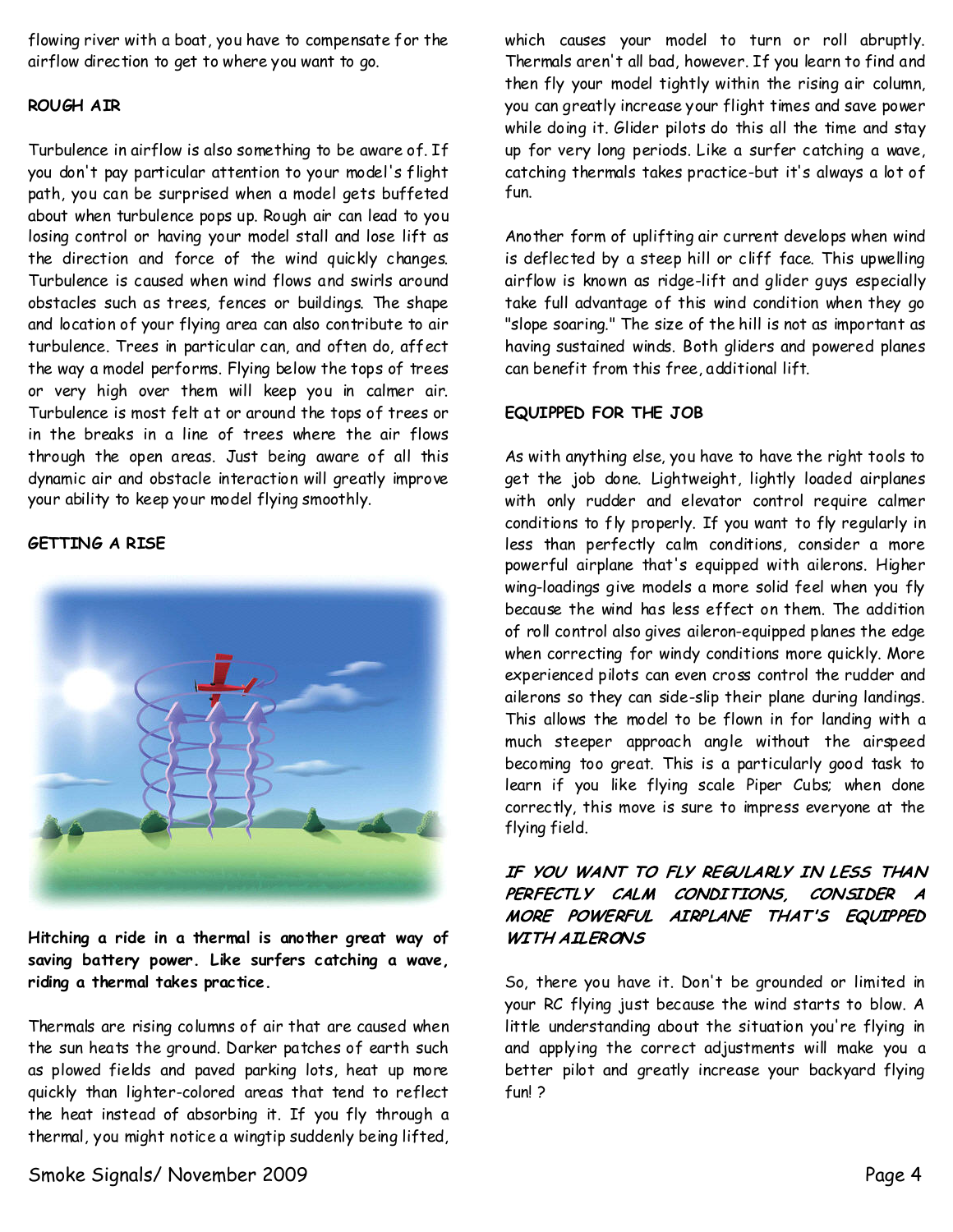flowing river with a boat, you have to compensate for the airflow direction to get to where you want to go.

### **ROUGH AIR**

Turbulence in airflow is also something to be aware of. If you don't pay particular attention to your model's flight path, you can be surprised when a model gets buffeted about when turbulence pops up. Rough air can lead to you losing control or having your model stall and lose lift as the direction and force of the wind quickly changes. Turbulence is caused when wind flows and swirls around obstacles such as trees, fences or buildings. The shape and location of your flying area can also contribute to air turbulence. Trees in particular can, and often do, affect the way a model performs. Flying below the tops of trees or very high over them will keep you in calmer air. Turbulence is most felt at or around the tops of trees or in the breaks in a line of trees where the air flows through the open areas. Just being aware of all this dynamic air and obstacle interaction will greatly improve your ability to keep your model flying smoothly.

### **GETTING A RISE**



**Hitching a ride in a thermal is another great way of saving battery power. Like surfers catching a wave, riding a thermal takes practice.**

Thermals are rising columns of air that are caused when the sun heats the ground. Darker patches of earth such as plowed fields and paved parking lots, heat up more quickly than lighter-colored areas that tend to reflect the heat instead of absorbing it. If you fly through a thermal, you might notice a wingtip suddenly being lifted,

which causes your model to turn or roll abruptly. Thermals aren't all bad, however. If you learn to find and then fly your model tightly within the rising air column, you can greatly increase your flight times and save power while doing it. Glider pilots do this all the time and stay up for very long periods. Like a surfer catching a wave, catching thermals takes practice-but it's always a lot of fun.

Another form of uplifting air current develops when wind is deflected by a steep hill or cliff face. This upwelling airflow is known as ridge-lift and glider guys especially take full advantage of this wind condition when they go "slope soaring." The size of the hill is not as important as having sustained winds. Both gliders and powered planes can benefit from this free, additional lift.

### **EQUIPPED FOR THE JOB**

As with anything else, you have to have the right tools to get the job done. Lightweight, lightly loaded airplanes with only rudder and elevator control require calmer conditions to fly properly. If you want to fly regularly in less than perfectly calm conditions, consider a more powerful airplane that's equipped with ailerons. Higher wing-loadings give models a more solid feel when you fly because the wind has less effect on them. The addition of roll control also gives aileron-equipped planes the edge when correcting for windy conditions more quickly. More experienced pilots can even cross control the rudder and ailerons so they can side-slip their plane during landings. This allows the model to be flown in for landing with a much steeper approach angle without the airspeed becoming too great. This is a particularly good task to learn if you like flying scale Piper Cubs; when done correctly, this move is sure to impress everyone at the flying field.

### IF YOU WANT TO FLY REGULARLY IN LESS THAN PERFECTLY CALM CONDITIONS, CONSIDER A MORE POWERFUL AIRPLANE THAT'S EQUIPPED **WITH AILERONS**

So, there you have it. Don't be grounded or limited in your RC flying just because the wind starts to blow. A little understanding about the situation you're flying in and applying the correct adjustments will make you a better pilot and greatly increase your backyard flying fun! ?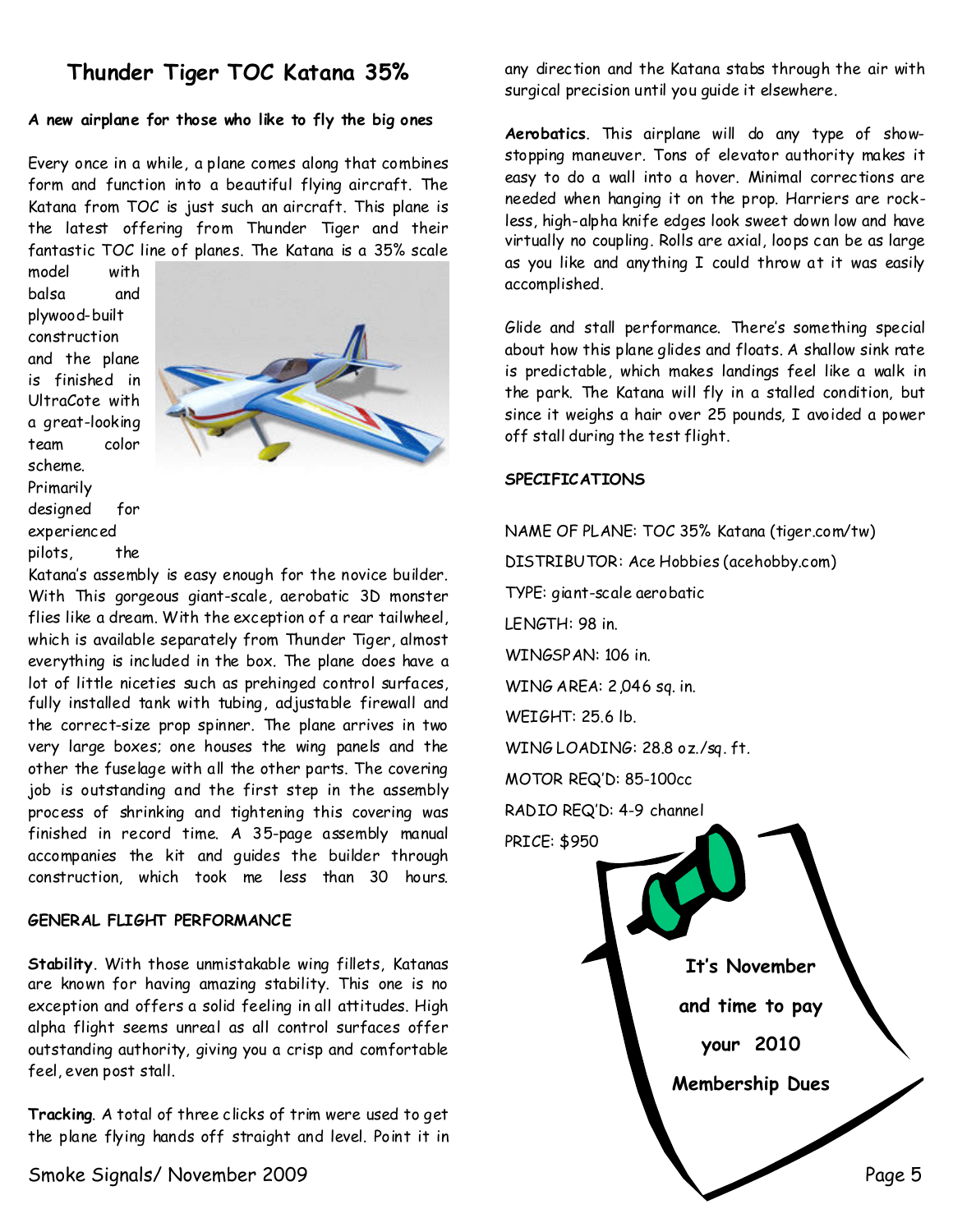# **Thunder Tiger TOC Katana 35%**

#### **A new airplane for those who like to fly the big ones**

Every once in a while, a plane comes along that combines form and function into a beautiful flying aircraft. The Katana from TOC is just such an aircraft. This plane is the latest offering from Thunder Tiger and their fantastic TOC line of planes. The Katana is a 35% scale

model with balsa and plywood-built construction and the plane is finished in UltraCote with a great-looking team color scheme. Primarily designed for experienced pilots, the



Katana's assembly is easy enough for the novice builder. With This gorgeous giant-scale, aerobatic 3D monster flies like a dream. With the exception of a rear tailwheel, which is available separately from Thunder Tiger, almost everything is included in the box. The plane does have a lot of little niceties such as prehinged control surfaces, fully installed tank with tubing, adjustable firewall and the correct-size prop spinner. The plane arrives in two very large boxes; one houses the wing panels and the other the fuselage withall the other parts. The covering job is outstanding and the first step in the assembly process of shrinking and tightening this covering was finished in record time. A 35-page assembly manual accompanies the kit and guides the builder through construction, which took me less than 30 hours.

#### **GENERAL FLIGHT PERFORMANCE**

**Stability**.With those unmistakable wing fillets, Katanas are known for having amazing stability. This one is no exception and offers a solid feeling in all attitudes. High alpha flight seems unreal as all control surfaces offer outstanding authority, giving you a crisp and comfortable feel, even post stall.

**Tracking**.A total of three clicks of trim were used to get the plane flying hands off straight and level. Point it in

any direction and the Katana stabs through the air with surgical precision until you guide it elsewhere.

**Aerobatics**. This airplane will do any type of show stopping maneuver. Tons of elevator authority makes it easy to do a wall into a hover. Minimal corrections are needed when hanging it on the prop. Harriers are rock less, high-alpha knife edges look sweet down low and have virtually no coupling. Rolls are axial, loops can be as large as you like and anything I could throw at it was easily accomplished.

Glide and stall performance. There's something special about how this plane glides and floats. A shallow sink rate is predictable, which makes landings feel like a walk in the park. The Katana will fly in a stalled condition, but since it weighs a hair over 25 pounds, I avoided a power off stall during the test flight.

#### **SPECIFICATIONS**

Smoke Signals/ November 2009 Page 5 NAME OF PLANE: TOC 35% Katana (tiger.com/tw) DISTRIBUTOR: Ace Hobbies (acehobby.com) TYPE: giant-scale aerobatic LENGTH:98 in. WINGSPAN:106 in. WING AREA:2,046 sq. in. WEIGHT:25.6 lb. WING LOADING:28.8 oz./sq. ft. MOTOR REQ'D:85-100cc RADIO REQ'D: 4-9 channel PRICE: \$950 **It's November and time to pay your 2010 Membership Dues**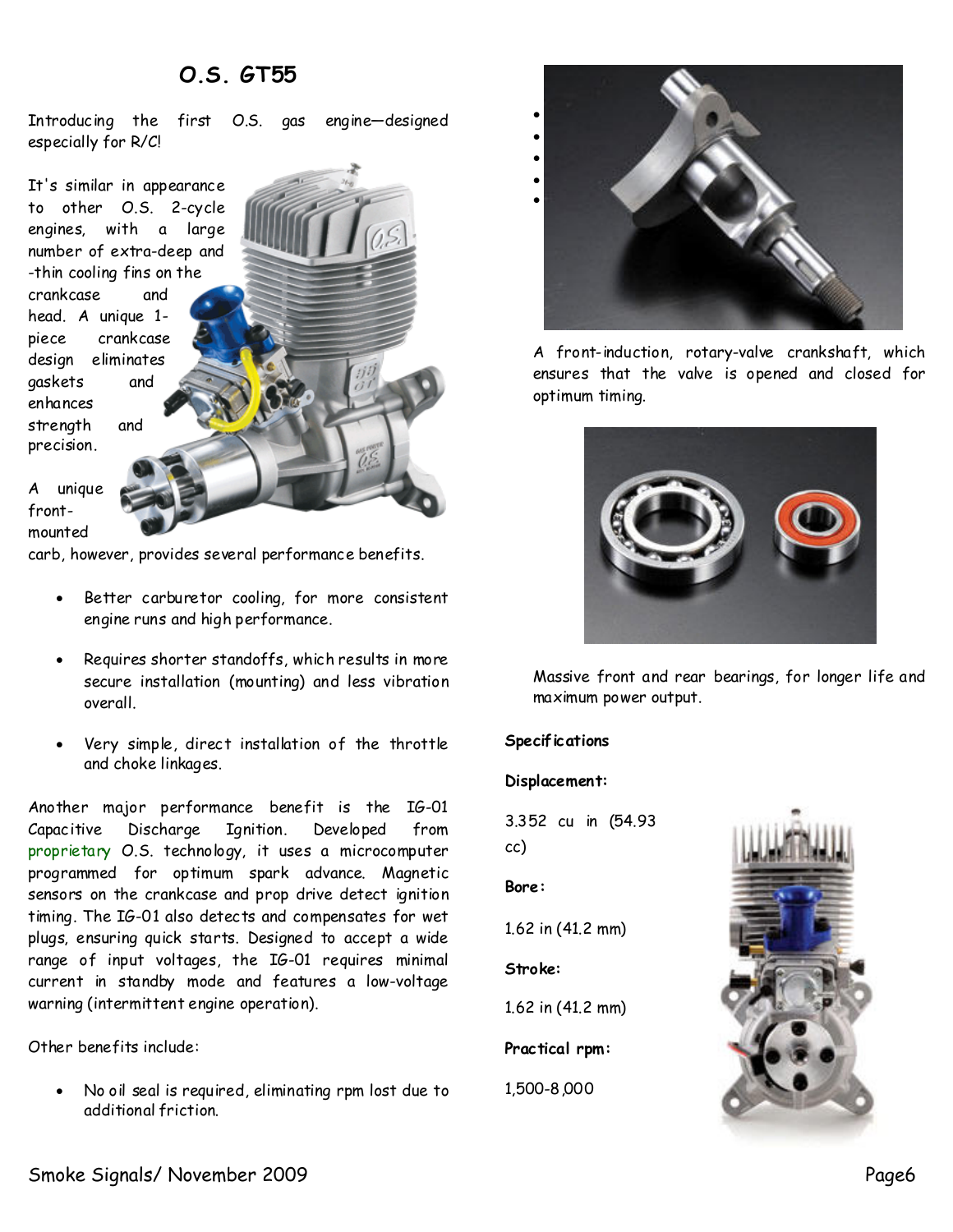## **O.S. GT55**

Introducing the first O.S. gas engine—designed especially for R/C!

It's similar in appearance to other O.S. 2-cycle engines, with a large number of extra-deep and -thin cooling fins on the crankcase and head. A unique 1 piece crankcase design eliminates gaskets and enhances strength and precision.

A unique front mounted

carb, however, provides several performance benefits.

- · Better carburetor cooling, for more consistent engine runs and high performance.
- Requires shorter standoffs, which results in more secure installation (mounting) and less vibration overall.
- Very simple, direct installation of the throttle and choke linkages.

Another major performance benefit is the IG-01 Capacitive Discharge Ignition. Developed from proprietary O.S. technology, it uses a microcomputer programmed for optimum spark advance. Magnetic sensors on the crankcase and prop drive detect ignition timing. The IG-01 also detects and compensates for wet plugs, ensuring quick starts. Designed to accept a wide range of input voltages, the IG-01 requires minimal current in standby mode and features a low-voltage warning (intermittent engine operation).

Other benefits include:

· No oil seal is required, eliminating rpmlost due to additional friction.



A front-induction, rotary-valve crankshaft, which ensures that the valve is opened and closed for optimum timing.



Massive front and rear bearings, for longer life and maximum power output.

#### **Specifications**

#### **Displacement:**

3.352 cu in (54.93 cc)

#### **Bore:**

1.62 in (41.2 mm)

**Stroke:**

1.62 in (41.2 mm)

Practical rpm:

1,500-8,000